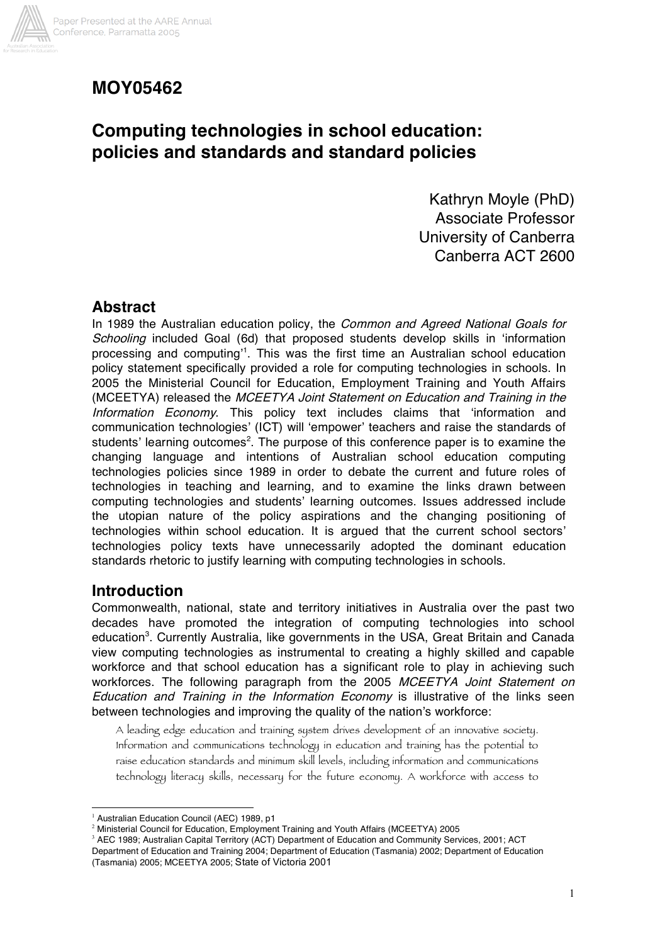

# **MOY05462**

# **Computing technologies in school education: policies and standards and standard policies**

Kathryn Moyle (PhD) Associate Professor University of Canberra Canberra ACT 2600

# **Abstract**

In 1989 the Australian education policy, the *Common and Agreed National Goals for* Schooling included Goal (6d) that proposed students develop skills in 'information processing and computing<sup>11</sup>. This was the first time an Australian school education policy statement specifically provided a role for computing technologies in schools. In 2005 the Ministerial Council for Education, Employment Training and Youth Affairs (MCEETYA) released the MCEETYA Joint Statement on Education and Training in the Information Economy. This policy text includes claims that 'information and communication technologies' (ICT) will 'empower' teachers and raise the standards of students' learning outcomes<sup>2</sup>. The purpose of this conference paper is to examine the changing language and intentions of Australian school education computing technologies policies since 1989 in order to debate the current and future roles of technologies in teaching and learning, and to examine the links drawn between computing technologies and students' learning outcomes. Issues addressed include the utopian nature of the policy aspirations and the changing positioning of technologies within school education. It is argued that the current school sectors' technologies policy texts have unnecessarily adopted the dominant education standards rhetoric to justify learning with computing technologies in schools.

### **Introduction**

Commonwealth, national, state and territory initiatives in Australia over the past two decades have promoted the integration of computing technologies into school education<sup>3</sup>. Currently Australia, like governments in the USA, Great Britain and Canada view computing technologies as instrumental to creating a highly skilled and capable workforce and that school education has a significant role to play in achieving such workforces. The following paragraph from the 2005 MCEETYA Joint Statement on Education and Training in the Information Economy is illustrative of the links seen between technologies and improving the quality of the nation's workforce:

A leading edge education and training system drives development of an innovative society. Information and communications technology in education and training has the potential to raise education standards and minimum skill levels, including information and communications technology literacy skills, necessary for the future economy. A workforce with access to

 <sup>1</sup> Australian Education Council (AEC) 1989, p1

<sup>&</sup>lt;sup>2</sup> Ministerial Council for Education, Employment Training and Youth Affairs (MCEETYA) 2005

<sup>3</sup> AEC 1989; Australian Capital Territory (ACT) Department of Education and Community Services, 2001; ACT Department of Education and Training 2004; Department of Education (Tasmania) 2002; Department of Education (Tasmania) 2005; MCEETYA 2005; State of Victoria 2001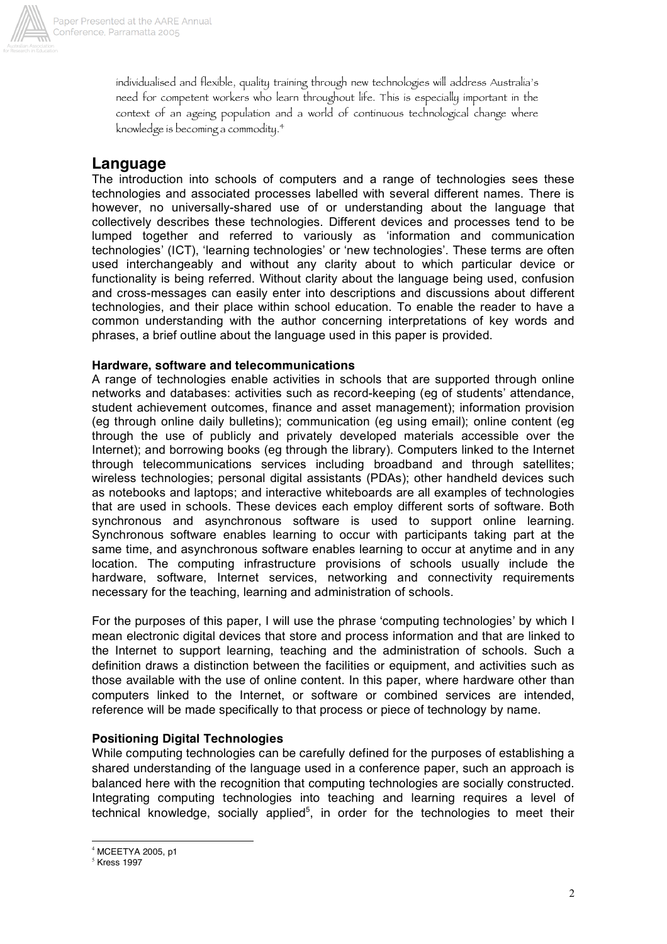

individualised and flexible, quality training through new technologies will address Australia's need for competent workers who learn throughout life. This is especially important in the context of an ageing population and a world of continuous technological change where knowledge is becoming a commodity. 4

# **Language**

The introduction into schools of computers and a range of technologies sees these technologies and associated processes labelled with several different names. There is however, no universally-shared use of or understanding about the language that collectively describes these technologies. Different devices and processes tend to be lumped together and referred to variously as 'information and communication technologies' (ICT), 'learning technologies' or 'new technologies'. These terms are often used interchangeably and without any clarity about to which particular device or functionality is being referred. Without clarity about the language being used, confusion and cross-messages can easily enter into descriptions and discussions about different technologies, and their place within school education. To enable the reader to have a common understanding with the author concerning interpretations of key words and phrases, a brief outline about the language used in this paper is provided.

#### **Hardware, software and telecommunications**

A range of technologies enable activities in schools that are supported through online networks and databases: activities such as record-keeping (eg of students' attendance, student achievement outcomes, finance and asset management); information provision (eg through online daily bulletins); communication (eg using email); online content (eg through the use of publicly and privately developed materials accessible over the Internet); and borrowing books (eg through the library). Computers linked to the Internet through telecommunications services including broadband and through satellites; wireless technologies; personal digital assistants (PDAs); other handheld devices such as notebooks and laptops; and interactive whiteboards are all examples of technologies that are used in schools. These devices each employ different sorts of software. Both synchronous and asynchronous software is used to support online learning. Synchronous software enables learning to occur with participants taking part at the same time, and asynchronous software enables learning to occur at anytime and in any location. The computing infrastructure provisions of schools usually include the hardware, software, Internet services, networking and connectivity requirements necessary for the teaching, learning and administration of schools.

For the purposes of this paper, I will use the phrase 'computing technologies' by which I mean electronic digital devices that store and process information and that are linked to the Internet to support learning, teaching and the administration of schools. Such a definition draws a distinction between the facilities or equipment, and activities such as those available with the use of online content. In this paper, where hardware other than computers linked to the Internet, or software or combined services are intended, reference will be made specifically to that process or piece of technology by name.

#### **Positioning Digital Technologies**

While computing technologies can be carefully defined for the purposes of establishing a shared understanding of the language used in a conference paper, such an approach is balanced here with the recognition that computing technologies are socially constructed. Integrating computing technologies into teaching and learning requires a level of technical knowledge, socially applied<sup>5</sup>, in order for the technologies to meet their

 <sup>4</sup> MCEETYA 2005, p1

 $<sup>5</sup>$  Kress 1997</sup>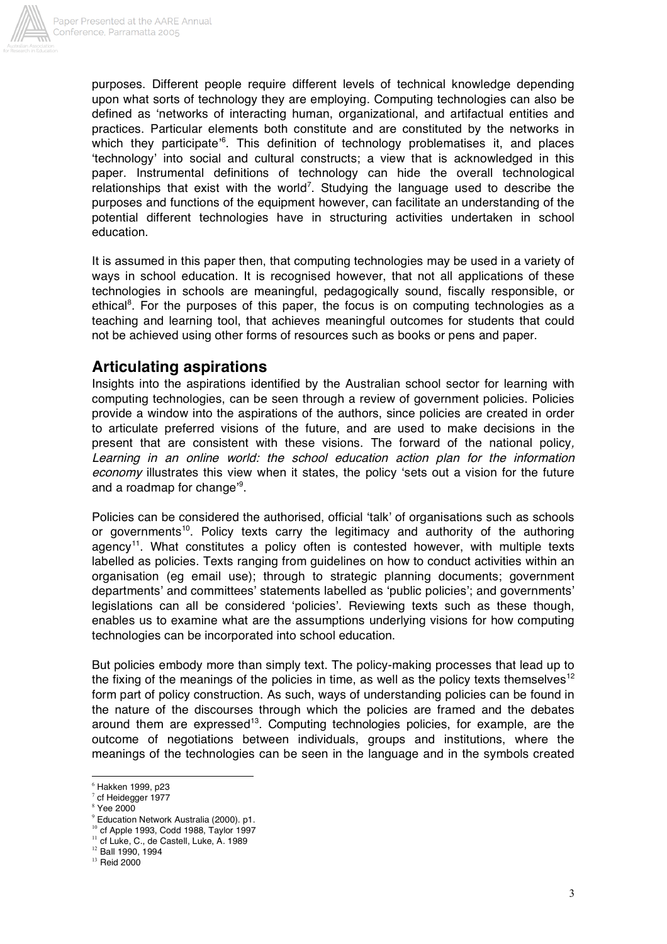

purposes. Different people require different levels of technical knowledge depending upon what sorts of technology they are employing. Computing technologies can also be defined as 'networks of interacting human, organizational, and artifactual entities and practices. Particular elements both constitute and are constituted by the networks in which they participate<sup>26</sup>. This definition of technology problematises it, and places 'technology' into social and cultural constructs; a view that is acknowledged in this paper. Instrumental definitions of technology can hide the overall technological relationships that exist with the world<sup>7</sup>. Studying the language used to describe the purposes and functions of the equipment however, can facilitate an understanding of the potential different technologies have in structuring activities undertaken in school education.

It is assumed in this paper then, that computing technologies may be used in a variety of ways in school education. It is recognised however, that not all applications of these technologies in schools are meaningful, pedagogically sound, fiscally responsible, or ethical<sup>8</sup>. For the purposes of this paper, the focus is on computing technologies as a teaching and learning tool, that achieves meaningful outcomes for students that could not be achieved using other forms of resources such as books or pens and paper.

# **Articulating aspirations**

Insights into the aspirations identified by the Australian school sector for learning with computing technologies, can be seen through a review of government policies. Policies provide a window into the aspirations of the authors, since policies are created in order to articulate preferred visions of the future, and are used to make decisions in the present that are consistent with these visions. The forward of the national policy, Learning in an online world: the school education action plan for the information economy illustrates this view when it states, the policy 'sets out a vision for the future and a roadmap for change<sup>'9</sup>.

Policies can be considered the authorised, official 'talk' of organisations such as schools or governments<sup>10</sup>. Policy texts carry the legitimacy and authority of the authoring agency<sup>11</sup>. What constitutes a policy often is contested however, with multiple texts labelled as policies. Texts ranging from guidelines on how to conduct activities within an organisation (eg email use); through to strategic planning documents; government departments' and committees' statements labelled as 'public policies'; and governments' legislations can all be considered 'policies'. Reviewing texts such as these though, enables us to examine what are the assumptions underlying visions for how computing technologies can be incorporated into school education.

But policies embody more than simply text. The policy-making processes that lead up to the fixing of the meanings of the policies in time, as well as the policy texts themselves<sup>12</sup> form part of policy construction. As such, ways of understanding policies can be found in the nature of the discourses through which the policies are framed and the debates around them are expressed<sup>13</sup>. Computing technologies policies, for example, are the outcome of negotiations between individuals, groups and institutions, where the meanings of the technologies can be seen in the language and in the symbols created

<sup>8</sup> Yee 2000

 <sup>6</sup> Hakken 1999, p23

<sup>7</sup> cf Heidegger 1977

<sup>&</sup>lt;sup>9</sup> Education Network Australia (2000). p1.

 $10$  cf Apple 1993, Codd 1988, Taylor 1997  $<sup>11</sup>$  cf Luke, C., de Castell, Luke, A. 1989</sup>

<sup>&</sup>lt;sup>12</sup> Ball 1990, 1994

<sup>&</sup>lt;sup>13</sup> Reid 2000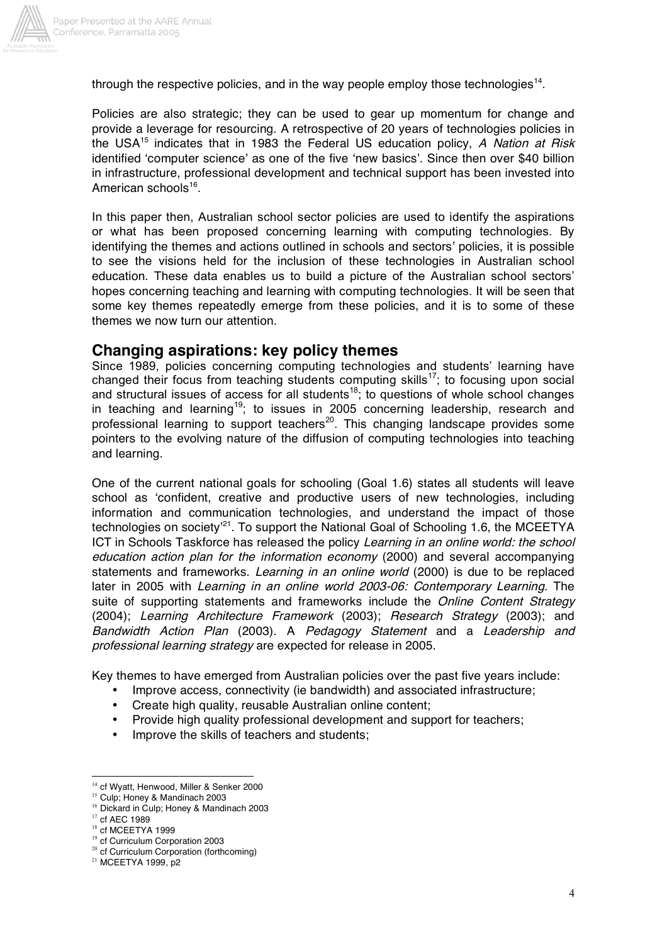

through the respective policies, and in the way people employ those technologies<sup>14</sup>.

Policies are also strategic; they can be used to gear up momentum for change and provide a leverage for resourcing. A retrospective of 20 years of technologies policies in the USA<sup>15</sup> indicates that in 1983 the Federal US education policy. A Nation at Risk identified 'computer science' as one of the five 'new basics'. Since then over \$40 billion in infrastructure, professional development and technical support has been invested into American schools<sup>16</sup>.

In this paper then, Australian school sector policies are used to identify the aspirations or what has been proposed concerning learning with computing technologies. By identifying the themes and actions outlined in schools and sectors' policies, it is possible to see the visions held for the inclusion of these technologies in Australian school education. These data enables us to build a picture of the Australian school sectors' hopes concerning teaching and learning with computing technologies. It will be seen that some key themes repeatedly emerge from these policies, and it is to some of these themes we now turn our attention.

### **Changing aspirations: key policy themes**

Since 1989, policies concerning computing technologies and students' learning have changed their focus from teaching students computing skills<sup>17</sup>; to focusing upon social and structural issues of access for all students<sup>18</sup>; to questions of whole school changes in teaching and learning<sup>19</sup>; to issues in 2005 concerning leadership, research and professional learning to support teachers<sup>20</sup>. This changing landscape provides some pointers to the evolving nature of the diffusion of computing technologies into teaching and learning.

One of the current national goals for schooling (Goal 1.6) states all students will leave school as 'confident, creative and productive users of new technologies, including information and communication technologies, and understand the impact of those technologies on society'<sup>21</sup>. To support the National Goal of Schooling 1.6, the MCEETYA ICT in Schools Taskforce has released the policy Learning in an online world: the school education action plan for the information economy (2000) and several accompanying statements and frameworks. *Learning in an online world* (2000) is due to be replaced later in 2005 with Learning in an online world 2003-06: Contemporary Learning. The suite of supporting statements and frameworks include the Online Content Strategy (2004); Learning Architecture Framework (2003); Research Strategy (2003); and Bandwidth Action Plan (2003). A Pedagogy Statement and a Leadership and professional learning strategy are expected for release in 2005.

Key themes to have emerged from Australian policies over the past five years include:

- Improve access, connectivity (ie bandwidth) and associated infrastructure;
- Create high quality, reusable Australian online content;
- Provide high quality professional development and support for teachers;
- Improve the skills of teachers and students;

<sup>&</sup>lt;sup>14</sup> cf Wyatt, Henwood, Miller & Senker 2000

<sup>&</sup>lt;sup>15</sup> Culp; Honey & Mandinach 2003

<sup>&</sup>lt;sup>16</sup> Dickard in Culp; Honey & Mandinach 2003

<sup>&</sup>lt;sup>17</sup> cf AFC 1989

<sup>&</sup>lt;sup>18</sup> cf MCEETYA 1999

<sup>&</sup>lt;sup>19</sup> cf Curriculum Corporation 2003

<sup>&</sup>lt;sup>20</sup> cf Curriculum Corporation (forthcoming)

<sup>&</sup>lt;sup>21</sup> MCEETYA 1999, p2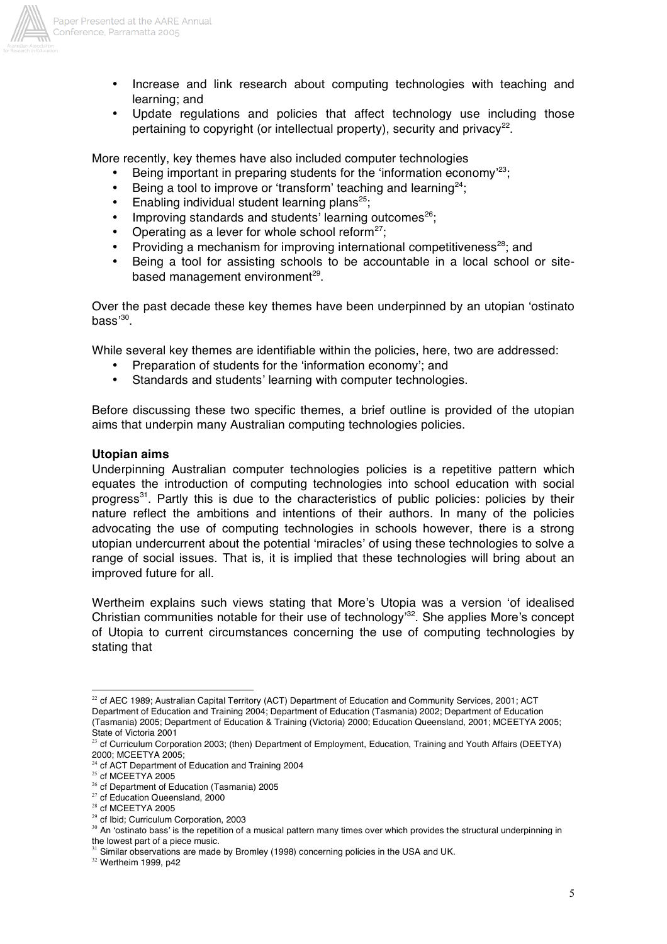

- Increase and link research about computing technologies with teaching and learning; and
- Update regulations and policies that affect technology use including those pertaining to copyright (or intellectual property), security and privacy<sup>22</sup>.

More recently, key themes have also included computer technologies

- Being important in preparing students for the 'information economy'<sup>23</sup>;
- Being a tool to improve or 'transform' teaching and learning<sup>24</sup>;
- Enabling individual student learning plans<sup>25</sup>;
- Improving standards and students' learning outcomes<sup>26</sup>;
- Operating as a lever for whole school reform $27$ ;
- Providing a mechanism for improving international competitiveness<sup>28</sup>; and
- Being a tool for assisting schools to be accountable in a local school or sitebased management environment<sup>29</sup>.

Over the past decade these key themes have been underpinned by an utopian 'ostinato bass' 30.

While several key themes are identifiable within the policies, here, two are addressed:

- Preparation of students for the 'information economy'; and
- Standards and students' learning with computer technologies.

Before discussing these two specific themes, a brief outline is provided of the utopian aims that underpin many Australian computing technologies policies.

#### **Utopian aims**

Underpinning Australian computer technologies policies is a repetitive pattern which equates the introduction of computing technologies into school education with social progress<sup>31</sup>. Partly this is due to the characteristics of public policies: policies by their nature reflect the ambitions and intentions of their authors. In many of the policies advocating the use of computing technologies in schools however, there is a strong utopian undercurrent about the potential 'miracles' of using these technologies to solve a range of social issues. That is, it is implied that these technologies will bring about an improved future for all.

Wertheim explains such views stating that More's Utopia was a version 'of idealised Christian communities notable for their use of technology<sup>32</sup>. She applies More's concept of Utopia to current circumstances concerning the use of computing technologies by stating that

 $22$  cf AEC 1989; Australian Capital Territory (ACT) Department of Education and Community Services, 2001; ACT Department of Education and Training 2004; Department of Education (Tasmania) 2002; Department of Education (Tasmania) 2005; Department of Education & Training (Victoria) 2000; Education Queensland, 2001; MCEETYA 2005; State of Victoria 2001

<sup>&</sup>lt;sup>23</sup> cf Curriculum Corporation 2003; (then) Department of Employment, Education, Training and Youth Affairs (DEETYA) 2000; MCEETYA 2005;

<sup>&</sup>lt;sup>24</sup> cf ACT Department of Education and Training 2004

 $25$  cf MCEETYA 2005

<sup>&</sup>lt;sup>26</sup> cf Department of Education (Tasmania) 2005

 $27$  cf Education Queensland, 2000

<sup>&</sup>lt;sup>28</sup> cf MCEETYA 2005

<sup>&</sup>lt;sup>29</sup> cf Ibid; Curriculum Corporation, 2003

<sup>&</sup>lt;sup>30</sup> An 'ostinato bass' is the repetition of a musical pattern many times over which provides the structural underpinning in the lowest part of a piece music.

<sup>&</sup>lt;sup>31</sup> Similar observations are made by Bromley (1998) concerning policies in the USA and UK.

<sup>&</sup>lt;sup>32</sup> Wertheim 1999, p42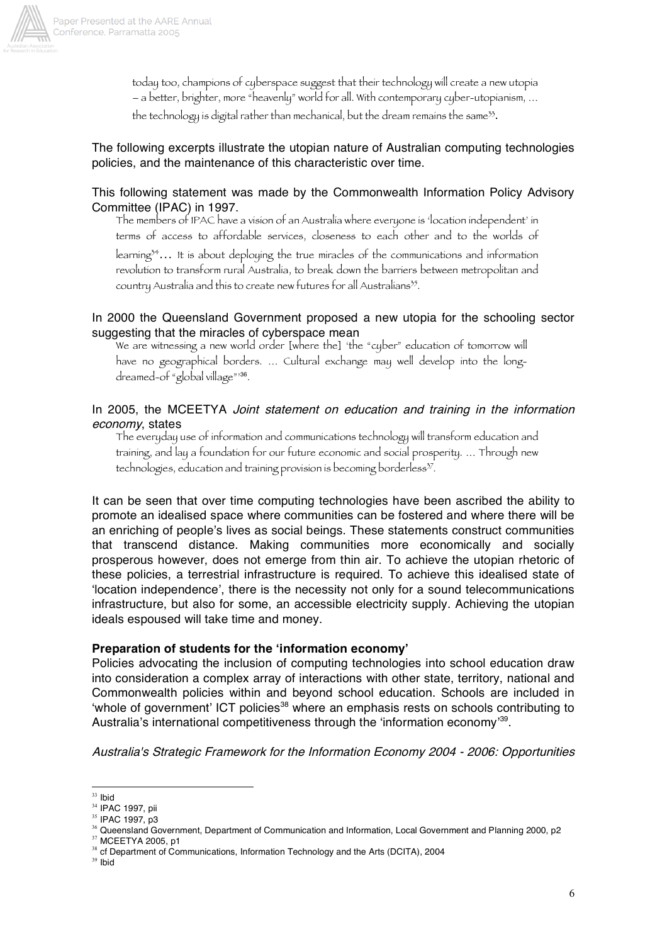

today too, champions of cyberspace suggest that their technology will create a new utopia – a better, brighter, more "heavenly" world for all. With contemporary cyber-utopianism, … the technology is digital rather than mechanical, but the dream remains the same<sup>33</sup>.

#### The following excerpts illustrate the utopian nature of Australian computing technologies policies, and the maintenance of this characteristic over time.

#### This following statement was made by the Commonwealth Information Policy Advisory Committee (IPAC) in 1997.

The members of IPAC have a vision of an Australia where everyone is 'location independent' in terms of access to affordable services, closeness to each other and to the worlds of learning<sup>34</sup>… It is about deploying the true miracles of the communications and information revolution to transform rural Australia, to break down the barriers between metropolitan and country Australía and thís to create new futures for all Australíans<sup>35</sup>.

#### In 2000 the Queensland Government proposed a new utopia for the schooling sector suggesting that the miracles of cyberspace mean

We are witnessing a new world order [where the] 'the "cyber" education of tomorrow will have no geographical borders. … Cultural exchange may well develop into the longdreamed-of "global village"'<sup>36</sup>.

#### In 2005, the MCEETYA Joint statement on education and training in the information economy, states

The everyday use of information and communications technology will transform education and training, and lay a foundation for our future economic and social prosperity. … Through new technologies, education and training provision is becoming borderless<sup>37</sup> .

It can be seen that over time computing technologies have been ascribed the ability to promote an idealised space where communities can be fostered and where there will be an enriching of people's lives as social beings. These statements construct communities that transcend distance. Making communities more economically and socially prosperous however, does not emerge from thin air. To achieve the utopian rhetoric of these policies, a terrestrial infrastructure is required. To achieve this idealised state of 'location independence', there is the necessity not only for a sound telecommunications infrastructure, but also for some, an accessible electricity supply. Achieving the utopian ideals espoused will take time and money.

#### **Preparation of students for the 'information economy'**

Policies advocating the inclusion of computing technologies into school education draw into consideration a complex array of interactions with other state, territory, national and Commonwealth policies within and beyond school education. Schools are included in 'whole of government' ICT policies<sup>38</sup> where an emphasis rests on schools contributing to Australia's international competitiveness through the 'information economy'<sup>39</sup>.

Australia's Strategic Framework for the Information Economy 2004 - 2006: Opportunities

<sup>37</sup> MCEETYA 2005, p1

 $33$  Ibid

<sup>34</sup> IPAC 1997, pii

<sup>35</sup> IPAC 1997, p3

<sup>&</sup>lt;sup>36</sup> Queensland Government, Department of Communication and Information, Local Government and Planning 2000, p2

<sup>&</sup>lt;sup>38</sup> cf Department of Communications, Information Technology and the Arts (DCITA), 2004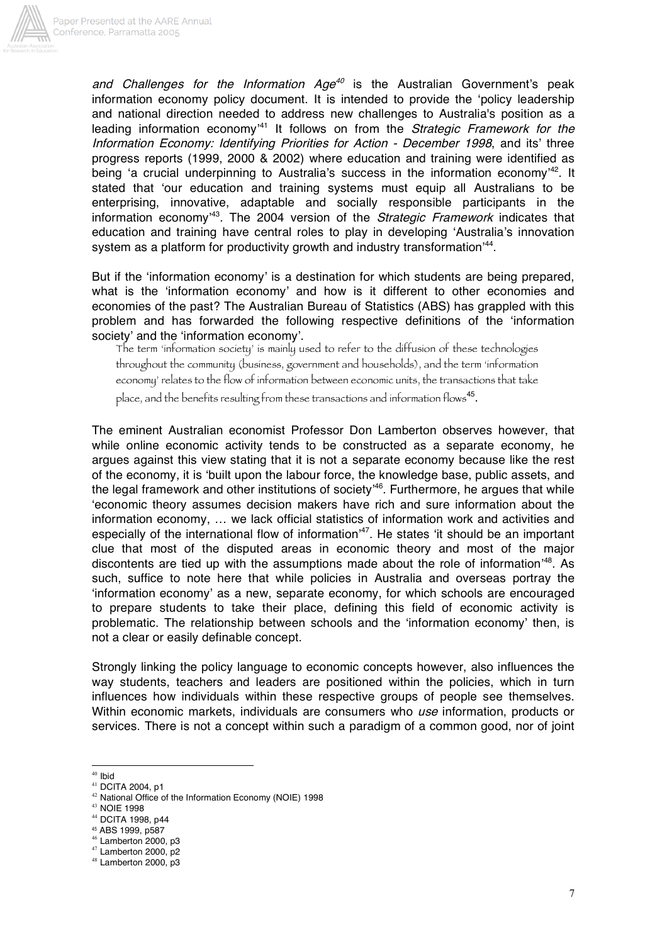

and Challenges for the Information  $Aq e^{40}$  is the Australian Government's peak information economy policy document. It is intended to provide the 'policy leadership and national direction needed to address new challenges to Australia's position as a leading information economy<sup>141</sup> It follows on from the Strategic Framework for the Information Economy: Identifying Priorities for Action - December 1998, and its' three progress reports (1999, 2000 & 2002) where education and training were identified as being 'a crucial underpinning to Australia's success in the information economy<sup>142</sup>. It stated that 'our education and training systems must equip all Australians to be enterprising, innovative, adaptable and socially responsible participants in the information economy<sup>,43</sup>. The 2004 version of the Strategic Framework indicates that education and training have central roles to play in developing 'Australia's innovation system as a platform for productivity growth and industry transformation'44.

But if the 'information economy' is a destination for which students are being prepared, what is the 'information economy' and how is it different to other economies and economies of the past? The Australian Bureau of Statistics (ABS) has grappled with this problem and has forwarded the following respective definitions of the 'information society' and the 'information economy'.

The term 'information society' is mainly used to refer to the diffusion of these technologies throughout the community (business, government and households), and the term 'information economy' relates to the flow of information between economic units, the transactions that take

place, and the benefits resulting from these transactions and information flows 45.

The eminent Australian economist Professor Don Lamberton observes however, that while online economic activity tends to be constructed as a separate economy, he argues against this view stating that it is not a separate economy because like the rest of the economy, it is 'built upon the labour force, the knowledge base, public assets, and the legal framework and other institutions of society<sup>46</sup>. Furthermore, he argues that while 'economic theory assumes decision makers have rich and sure information about the information economy, … we lack official statistics of information work and activities and especially of the international flow of information<sup>47</sup>. He states 'it should be an important clue that most of the disputed areas in economic theory and most of the major discontents are tied up with the assumptions made about the role of information<sup>148</sup>. As such, suffice to note here that while policies in Australia and overseas portray the 'information economy' as a new, separate economy, for which schools are encouraged to prepare students to take their place, defining this field of economic activity is problematic. The relationship between schools and the 'information economy' then, is not a clear or easily definable concept.

Strongly linking the policy language to economic concepts however, also influences the way students, teachers and leaders are positioned within the policies, which in turn influences how individuals within these respective groups of people see themselves. Within economic markets, individuals are consumers who use information, products or services. There is not a concept within such a paradigm of a common good, nor of joint

<sup>45</sup> ABS 1999, p587

 $40$  Ibid

<sup>41</sup> DCITA 2004, p1

<sup>42</sup> National Office of the Information Economy (NOIE) 1998

<sup>43</sup> NOIE 1998

<sup>44</sup> DCITA 1998, p44

<sup>46</sup> Lamberton 2000, p3 <sup>47</sup> Lamberton 2000, p2

 $48$  Lamberton 2000, p3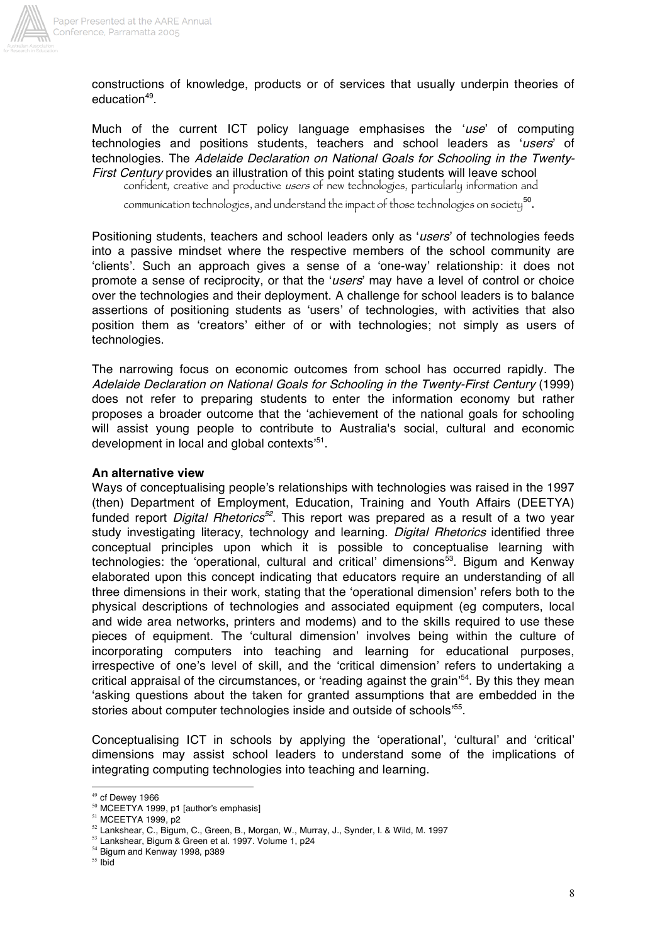

constructions of knowledge, products or of services that usually underpin theories of  $education<sup>49</sup>$ .

Much of the current ICT policy language emphasises the 'use' of computing technologies and positions students, teachers and school leaders as 'users' of technologies. The Adelaide Declaration on National Goals for Schooling in the Twenty-First Century provides an illustration of this point stating students will leave school

confident, creative and productive users of new technologies, particularly information and

communication technologies, and understand the impact of those technologies on society 50.

Positioning students, teachers and school leaders only as 'users' of technologies feeds into a passive mindset where the respective members of the school community are 'clients'. Such an approach gives a sense of a 'one-way' relationship: it does not promote a sense of reciprocity, or that the 'users' may have a level of control or choice over the technologies and their deployment. A challenge for school leaders is to balance assertions of positioning students as 'users' of technologies, with activities that also position them as 'creators' either of or with technologies; not simply as users of technologies.

The narrowing focus on economic outcomes from school has occurred rapidly. The Adelaide Declaration on National Goals for Schooling in the Twenty-First Century (1999) does not refer to preparing students to enter the information economy but rather proposes a broader outcome that the 'achievement of the national goals for schooling will assist young people to contribute to Australia's social, cultural and economic development in local and global contexts'<sup>51</sup>.

#### **An alternative view**

Ways of conceptualising people's relationships with technologies was raised in the 1997 (then) Department of Employment, Education, Training and Youth Affairs (DEETYA) funded report *Digital Rhetorics<sup>52</sup>*. This report was prepared as a result of a two year study investigating literacy, technology and learning. *Digital Rhetorics* identified three conceptual principles upon which it is possible to conceptualise learning with technologies: the 'operational, cultural and critical' dimensions<sup>53</sup>. Bigum and Kenway elaborated upon this concept indicating that educators require an understanding of all three dimensions in their work, stating that the 'operational dimension' refers both to the physical descriptions of technologies and associated equipment (eg computers, local and wide area networks, printers and modems) and to the skills required to use these pieces of equipment. The 'cultural dimension' involves being within the culture of incorporating computers into teaching and learning for educational purposes, irrespective of one's level of skill, and the 'critical dimension' refers to undertaking a critical appraisal of the circumstances, or 'reading against the grain<sup>'54</sup>. By this they mean 'asking questions about the taken for granted assumptions that are embedded in the stories about computer technologies inside and outside of schools' 55.

Conceptualising ICT in schools by applying the 'operational', 'cultural' and 'critical' dimensions may assist school leaders to understand some of the implications of integrating computing technologies into teaching and learning.

 <sup>49</sup> cf Dewey <sup>1966</sup>

<sup>50</sup> MCEETYA 1999, p1 [author's emphasis]

<sup>51</sup> MCEETYA 1999, p2

<sup>52</sup> Lankshear, C., Bigum, C., Green, B., Morgan, W., Murray, J., Synder, I. & Wild, M. 1997

<sup>53</sup> Lankshear, Bigum & Green et al. 1997. Volume 1, p24

<sup>&</sup>lt;sup>54</sup> Bigum and Kenway 1998, p389

 $55$  Ibid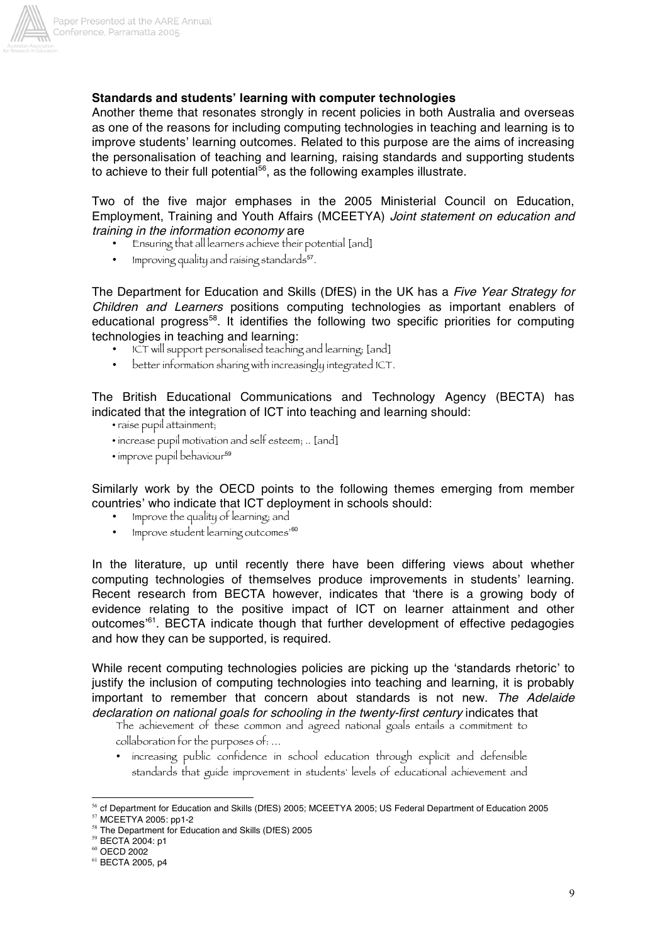

#### **Standards and students' learning with computer technologies**

Another theme that resonates strongly in recent policies in both Australia and overseas as one of the reasons for including computing technologies in teaching and learning is to improve students' learning outcomes. Related to this purpose are the aims of increasing the personalisation of teaching and learning, raising standards and supporting students to achieve to their full potential<sup>56</sup>, as the following examples illustrate.

Two of the five major emphases in the 2005 Ministerial Council on Education, Employment, Training and Youth Affairs (MCEETYA) Joint statement on education and training in the information economy are

- Ensuring that all learners achieve their potential [and]
- $\bullet$  Improving quality and raising standards $^{57}$ .

The Department for Education and Skills (DfES) in the UK has a Five Year Strategy for Children and Learners positions computing technologies as important enablers of educational progress<sup>58</sup>. It identifies the following two specific priorities for computing technologies in teaching and learning:

- ICT will support personalised teaching and learning; [and]
- better information sharing with increasingly integrated ICT.

The British Educational Communications and Technology Agency (BECTA) has indicated that the integration of ICT into teaching and learning should:

- raise pupil attainment;
- increase pupil motivation and self esteem; .. [and]
- improve pupil behaviour 59

Similarly work by the OECD points to the following themes emerging from member countries' who indicate that ICT deployment in schools should:

- Improve the quality of learning; and
- Improve student learning outcomes' 60

In the literature, up until recently there have been differing views about whether computing technologies of themselves produce improvements in students' learning. Recent research from BECTA however, indicates that 'there is a growing body of evidence relating to the positive impact of ICT on learner attainment and other outcomes<sup>,61</sup>. BECTA indicate though that further development of effective pedagogies and how they can be supported, is required.

While recent computing technologies policies are picking up the 'standards rhetoric' to justify the inclusion of computing technologies into teaching and learning, it is probably important to remember that concern about standards is not new. The Adelaide declaration on national goals for schooling in the twenty-first century indicates that

The achievement of these common and agreed national goals entails a commitment to collaboration for the purposes of: …

• increasing public confidence in school education through explicit and defensible standards that guide improvement in students' levels of educational achievement and

 <sup>56</sup> cf Department for Education and Skills (DfES) 2005; MCEETYA 2005; US Federal Department of Education <sup>2005</sup>

<sup>57</sup> MCEETYA 2005: pp1-2

<sup>&</sup>lt;sup>58</sup> The Department for Education and Skills (DfES) 2005

<sup>59</sup> BECTA 2004: p1

<sup>60</sup> OECD 2002

<sup>61</sup> BECTA 2005, p4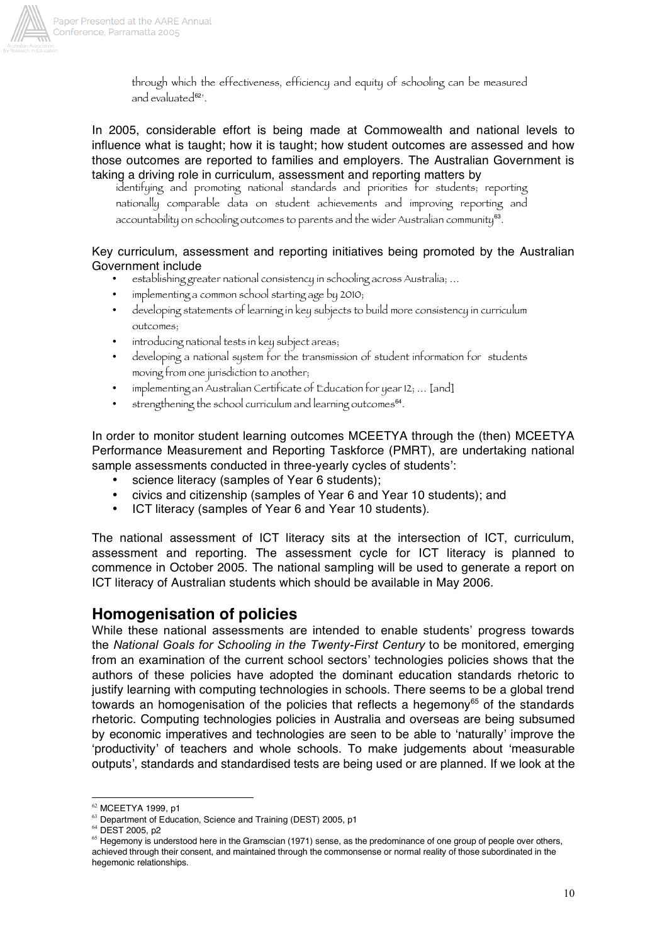

through which the effectiveness, efficiency and equity of schooling can be measured and evaluated<sup>62</sup>'.

In 2005, considerable effort is being made at Commowealth and national levels to influence what is taught; how it is taught; how student outcomes are assessed and how those outcomes are reported to families and employers. The Australian Government is taking a driving role in curriculum, assessment and reporting matters by

identifying and promoting national standards and priorities for students; reporting nationally comparable data on student achievements and improving reporting and accountability on schooling outcomes to parents and the wider Australian community $^{63}.$ 

#### Key curriculum, assessment and reporting initiatives being promoted by the Australian Government include

- establishing greater national consistency in schooling across Australia; …
- implementing a common school starting age by 2010;
- developing statements of learning in key subjects to build more consistency in curriculum outcomes;
- introducing national tests in key subject areas;
- developing a national system for the transmission of student information for students moving from one jurisdiction to another;
- implementing an Australian Certificate of Education for year 12; ... [and]
- $\bullet$  strengthening the school curriculum and learning outcomes  $^{64}.$

In order to monitor student learning outcomes MCEETYA through the (then) MCEETYA Performance Measurement and Reporting Taskforce (PMRT), are undertaking national sample assessments conducted in three-yearly cycles of students':

- science literacy (samples of Year 6 students);
- civics and citizenship (samples of Year 6 and Year 10 students); and
- ICT literacy (samples of Year 6 and Year 10 students).

The national assessment of ICT literacy sits at the intersection of ICT, curriculum, assessment and reporting. The assessment cycle for ICT literacy is planned to commence in October 2005. The national sampling will be used to generate a report on ICT literacy of Australian students which should be available in May 2006.

#### **Homogenisation of policies**

While these national assessments are intended to enable students' progress towards the *National Goals for Schooling in the Twenty-First Century* to be monitored, emerging from an examination of the current school sectors' technologies policies shows that the authors of these policies have adopted the dominant education standards rhetoric to justify learning with computing technologies in schools. There seems to be a global trend towards an homogenisation of the policies that reflects a hegemony<sup>65</sup> of the standards rhetoric. Computing technologies policies in Australia and overseas are being subsumed by economic imperatives and technologies are seen to be able to 'naturally' improve the 'productivity' of teachers and whole schools. To make judgements about 'measurable outputs', standards and standardised tests are being used or are planned. If we look at the

 <sup>62</sup> MCEETYA 1999, p1

 $^{63}$  Department of Education, Science and Training (DEST) 2005, p1

<sup>64</sup> DEST 2005, p2

<sup>&</sup>lt;sup>65</sup> Hegemony is understood here in the Gramscian (1971) sense, as the predominance of one group of people over others, achieved through their consent, and maintained through the commonsense or normal reality of those subordinated in the hegemonic relationships.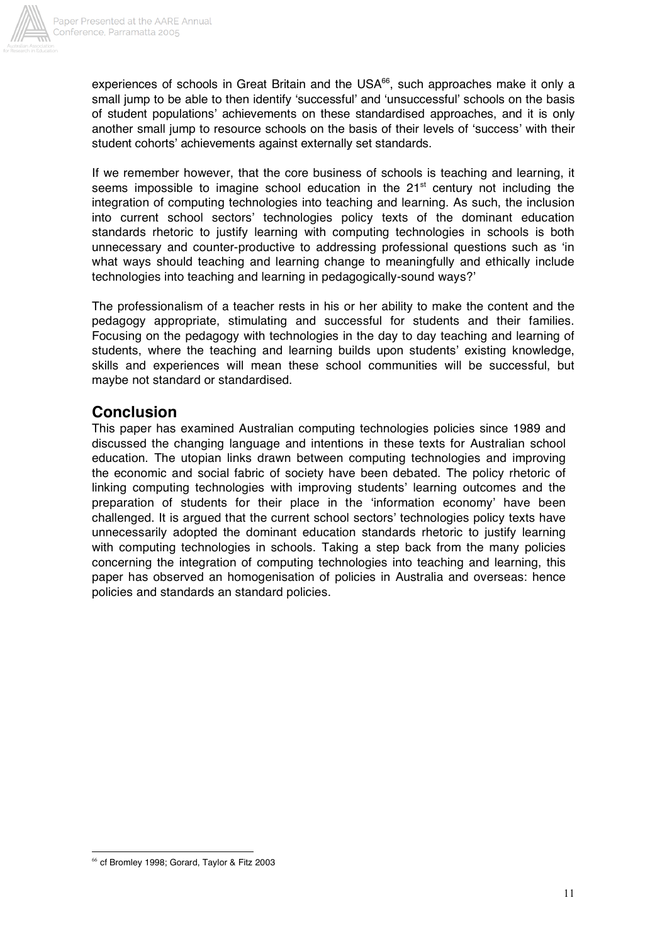

experiences of schools in Great Britain and the USA $^{66}$ , such approaches make it only a small jump to be able to then identify 'successful' and 'unsuccessful' schools on the basis of student populations' achievements on these standardised approaches, and it is only another small jump to resource schools on the basis of their levels of 'success' with their student cohorts' achievements against externally set standards.

If we remember however, that the core business of schools is teaching and learning, it seems impossible to imagine school education in the  $21<sup>st</sup>$  century not including the integration of computing technologies into teaching and learning. As such, the inclusion into current school sectors' technologies policy texts of the dominant education standards rhetoric to justify learning with computing technologies in schools is both unnecessary and counter-productive to addressing professional questions such as 'in what ways should teaching and learning change to meaningfully and ethically include technologies into teaching and learning in pedagogically-sound ways?'

The professionalism of a teacher rests in his or her ability to make the content and the pedagogy appropriate, stimulating and successful for students and their families. Focusing on the pedagogy with technologies in the day to day teaching and learning of students, where the teaching and learning builds upon students' existing knowledge, skills and experiences will mean these school communities will be successful, but maybe not standard or standardised.

# **Conclusion**

This paper has examined Australian computing technologies policies since 1989 and discussed the changing language and intentions in these texts for Australian school education. The utopian links drawn between computing technologies and improving the economic and social fabric of society have been debated. The policy rhetoric of linking computing technologies with improving students' learning outcomes and the preparation of students for their place in the 'information economy' have been challenged. It is argued that the current school sectors' technologies policy texts have unnecessarily adopted the dominant education standards rhetoric to justify learning with computing technologies in schools. Taking a step back from the many policies concerning the integration of computing technologies into teaching and learning, this paper has observed an homogenisation of policies in Australia and overseas: hence policies and standards an standard policies.

 <sup>66</sup> cf Bromley 1998; Gorard, Taylor & Fitz <sup>2003</sup>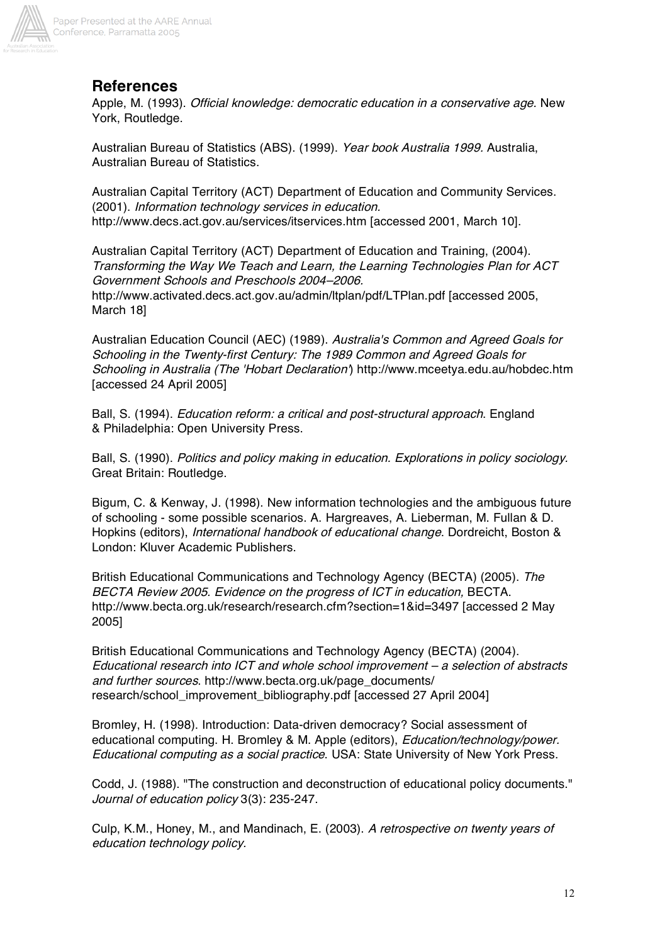

# **References**

Apple, M. (1993). Official knowledge: democratic education in a conservative age. New York, Routledge.

Australian Bureau of Statistics (ABS). (1999). Year book Australia 1999. Australia, Australian Bureau of Statistics.

Australian Capital Territory (ACT) Department of Education and Community Services. (2001). Information technology services in education. http://www.decs.act.gov.au/services/itservices.htm [accessed 2001, March 10].

Australian Capital Territory (ACT) Department of Education and Training, (2004). Transforming the Way We Teach and Learn, the Learning Technologies Plan for ACT Government Schools and Preschools 2004–2006. http://www.activated.decs.act.gov.au/admin/ltplan/pdf/LTPlan.pdf [accessed 2005, March 18]

Australian Education Council (AEC) (1989). Australia's Common and Agreed Goals for Schooling in the Twenty-first Century: The 1989 Common and Agreed Goals for Schooling in Australia (The 'Hobart Declaration') http://www.mceetya.edu.au/hobdec.htm [accessed 24 April 2005]

Ball, S. (1994). *Education reform: a critical and post-structural approach*. England & Philadelphia: Open University Press.

Ball, S. (1990). Politics and policy making in education. Explorations in policy sociology. Great Britain: Routledge.

Bigum, C. & Kenway, J. (1998). New information technologies and the ambiguous future of schooling - some possible scenarios. A. Hargreaves, A. Lieberman, M. Fullan & D. Hopkins (editors), International handbook of educational change. Dordreicht, Boston & London: Kluver Academic Publishers.

British Educational Communications and Technology Agency (BECTA) (2005). The BECTA Review 2005. Evidence on the progress of ICT in education, BECTA. http://www.becta.org.uk/research/research.cfm?section=1&id=3497 [accessed 2 May 2005]

British Educational Communications and Technology Agency (BECTA) (2004). Educational research into ICT and whole school improvement – a selection of abstracts and further sources. http://www.becta.org.uk/page\_documents/ research/school\_improvement\_bibliography.pdf [accessed 27 April 2004]

Bromley, H. (1998). Introduction: Data-driven democracy? Social assessment of educational computing. H. Bromley & M. Apple (editors), Education/technology/power. Educational computing as a social practice. USA: State University of New York Press.

Codd, J. (1988). "The construction and deconstruction of educational policy documents." Journal of education policy 3(3): 235-247.

Culp, K.M., Honey, M., and Mandinach, E. (2003). A retrospective on twenty years of education technology policy.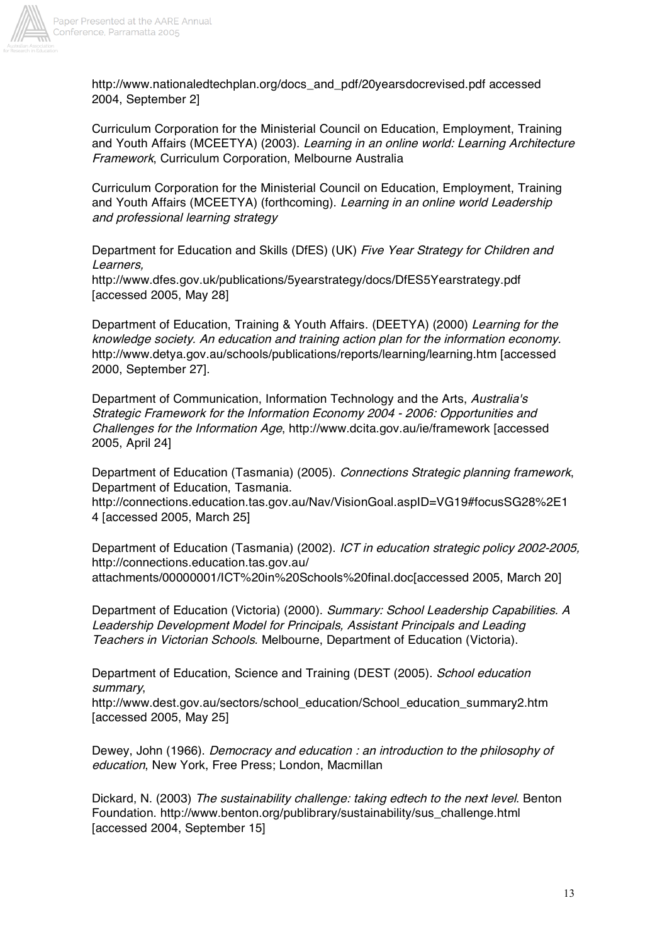

http://www.nationaledtechplan.org/docs\_and\_pdf/20yearsdocrevised.pdf accessed 2004, September 2]

Curriculum Corporation for the Ministerial Council on Education, Employment, Training and Youth Affairs (MCEETYA) (2003). Learning in an online world: Learning Architecture Framework, Curriculum Corporation, Melbourne Australia

Curriculum Corporation for the Ministerial Council on Education, Employment, Training and Youth Affairs (MCEETYA) (forthcoming). Learning in an online world Leadership and professional learning strategy

Department for Education and Skills (DfES) (UK) Five Year Strategy for Children and Learners,

http://www.dfes.gov.uk/publications/5yearstrategy/docs/DfES5Yearstrategy.pdf [accessed 2005, May 28]

Department of Education, Training & Youth Affairs. (DEETYA) (2000) Learning for the knowledge society. An education and training action plan for the information economy. http://www.detya.gov.au/schools/publications/reports/learning/learning.htm [accessed 2000, September 27].

Department of Communication, Information Technology and the Arts, Australia's Strategic Framework for the Information Economy 2004 - 2006: Opportunities and Challenges for the Information Age, http://www.dcita.gov.au/ie/framework [accessed 2005, April 24]

Department of Education (Tasmania) (2005). Connections Strategic planning framework, Department of Education, Tasmania.

http://connections.education.tas.gov.au/Nav/VisionGoal.aspID=VG19#focusSG28%2E1 4 [accessed 2005, March 25]

Department of Education (Tasmania) (2002). ICT in education strategic policy 2002-2005, http://connections.education.tas.gov.au/ attachments/00000001/ICT%20in%20Schools%20final.doc[accessed 2005, March 20]

Department of Education (Victoria) (2000). Summary: School Leadership Capabilities. A Leadership Development Model for Principals, Assistant Principals and Leading Teachers in Victorian Schools. Melbourne, Department of Education (Victoria).

Department of Education, Science and Training (DEST (2005). School education summary,

http://www.dest.gov.au/sectors/school\_education/School\_education\_summary2.htm [accessed 2005, May 25]

Dewey, John (1966). Democracy and education : an introduction to the philosophy of education, New York, Free Press; London, Macmillan

Dickard, N. (2003) The sustainability challenge: taking edtech to the next level. Benton Foundation. http://www.benton.org/publibrary/sustainability/sus\_challenge.html [accessed 2004, September 15]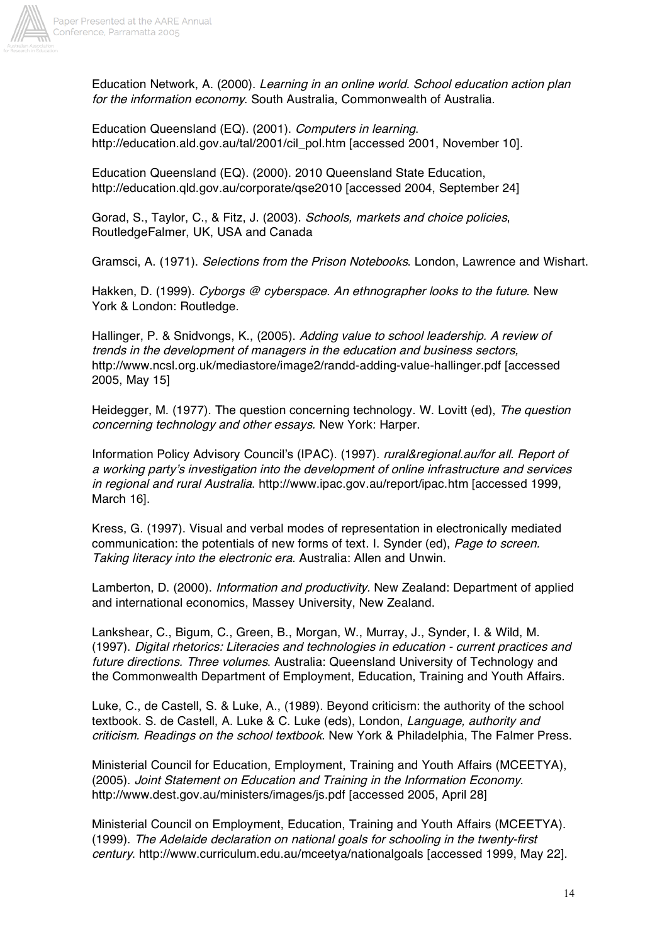

Education Network, A. (2000). Learning in an online world. School education action plan for the information economy. South Australia, Commonwealth of Australia.

Education Queensland (EQ). (2001). Computers in learning. http://education.ald.gov.au/tal/2001/cil\_pol.htm [accessed 2001, November 10].

Education Queensland (EQ). (2000). 2010 Queensland State Education, http://education.qld.gov.au/corporate/qse2010 [accessed 2004, September 24]

Gorad, S., Taylor, C., & Fitz, J. (2003). Schools, markets and choice policies, RoutledgeFalmer, UK, USA and Canada

Gramsci, A. (1971). Selections from the Prison Notebooks. London, Lawrence and Wishart.

Hakken, D. (1999). Cyborgs @ cyberspace. An ethnographer looks to the future. New York & London: Routledge.

Hallinger, P. & Snidvongs, K., (2005). Adding value to school leadership. A review of trends in the development of managers in the education and business sectors, http://www.ncsl.org.uk/mediastore/image2/randd-adding-value-hallinger.pdf [accessed 2005, May 15]

Heidegger, M. (1977). The question concerning technology. W. Lovitt (ed), The question concerning technology and other essays. New York: Harper.

Information Policy Advisory Council's (IPAC). (1997). rural&regional.au/for all. Report of a working party's investigation into the development of online infrastructure and services in regional and rural Australia. http://www.ipac.gov.au/report/ipac.htm [accessed 1999, March 16].

Kress, G. (1997). Visual and verbal modes of representation in electronically mediated communication: the potentials of new forms of text. I. Synder (ed), Page to screen. Taking literacy into the electronic era. Australia: Allen and Unwin.

Lamberton, D. (2000). Information and productivity. New Zealand: Department of applied and international economics, Massey University, New Zealand.

Lankshear, C., Bigum, C., Green, B., Morgan, W., Murray, J., Synder, I. & Wild, M. (1997). Digital rhetorics: Literacies and technologies in education - current practices and future directions. Three volumes. Australia: Queensland University of Technology and the Commonwealth Department of Employment, Education, Training and Youth Affairs.

Luke, C., de Castell, S. & Luke, A., (1989). Beyond criticism: the authority of the school textbook. S. de Castell, A. Luke & C. Luke (eds), London, Language, authority and criticism. Readings on the school textbook. New York & Philadelphia, The Falmer Press.

Ministerial Council for Education, Employment, Training and Youth Affairs (MCEETYA), (2005). Joint Statement on Education and Training in the Information Economy. http://www.dest.gov.au/ministers/images/js.pdf [accessed 2005, April 28]

Ministerial Council on Employment, Education, Training and Youth Affairs (MCEETYA). (1999). The Adelaide declaration on national goals for schooling in the twenty-first century. http://www.curriculum.edu.au/mceetya/nationalgoals [accessed 1999, May 22].